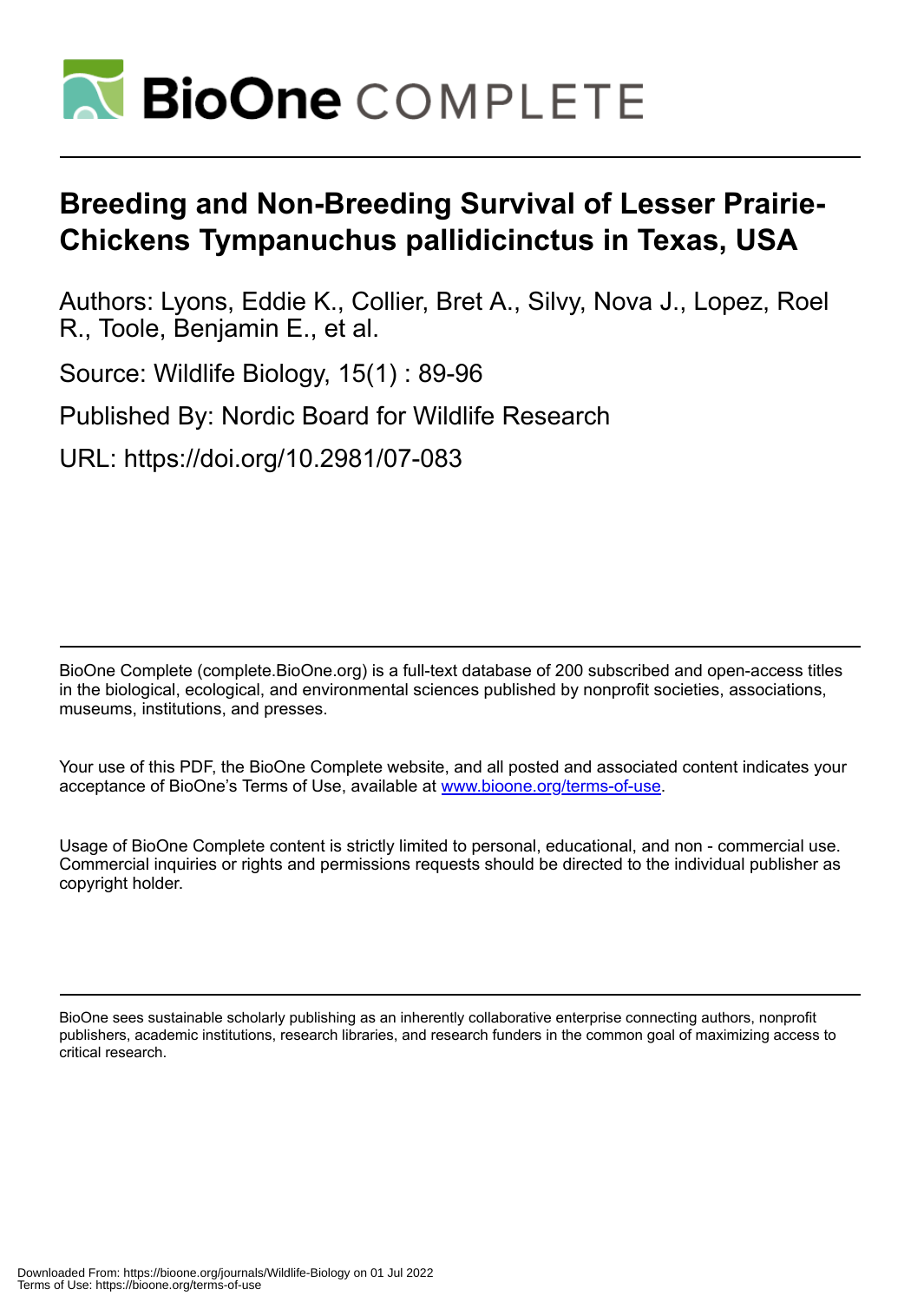

# **Breeding and Non-Breeding Survival of Lesser Prairie-Chickens Tympanuchus pallidicinctus in Texas, USA**

Authors: Lyons, Eddie K., Collier, Bret A., Silvy, Nova J., Lopez, Roel R., Toole, Benjamin E., et al.

Source: Wildlife Biology, 15(1) : 89-96

Published By: Nordic Board for Wildlife Research

URL: https://doi.org/10.2981/07-083

BioOne Complete (complete.BioOne.org) is a full-text database of 200 subscribed and open-access titles in the biological, ecological, and environmental sciences published by nonprofit societies, associations, museums, institutions, and presses.

Your use of this PDF, the BioOne Complete website, and all posted and associated content indicates your acceptance of BioOne's Terms of Use, available at www.bioone.org/terms-of-use.

Usage of BioOne Complete content is strictly limited to personal, educational, and non - commercial use. Commercial inquiries or rights and permissions requests should be directed to the individual publisher as copyright holder.

BioOne sees sustainable scholarly publishing as an inherently collaborative enterprise connecting authors, nonprofit publishers, academic institutions, research libraries, and research funders in the common goal of maximizing access to critical research.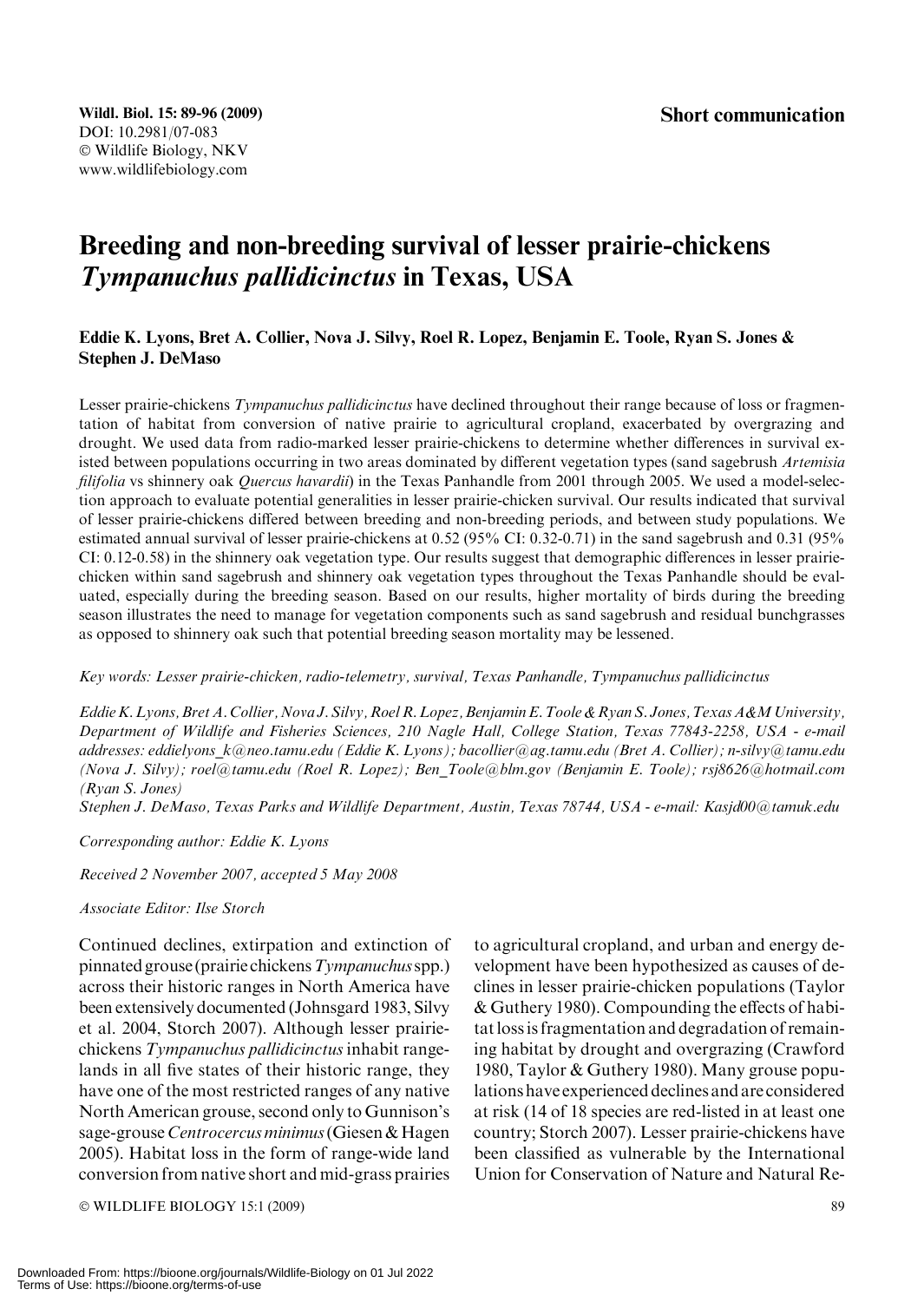## Breeding and non-breeding survival of lesser prairie-chickens Tympanuchus pallidicinctus in Texas, USA

## Eddie K. Lyons, Bret A. Collier, Nova J. Silvy, Roel R. Lopez, Benjamin E. Toole, Ryan S. Jones & Stephen J. DeMaso

Lesser prairie-chickens Tympanuchus pallidicinctus have declined throughout their range because of loss or fragmentation of habitat from conversion of native prairie to agricultural cropland, exacerbated by overgrazing and drought. We used data from radio-marked lesser prairie-chickens to determine whether differences in survival existed between populations occurring in two areas dominated by different vegetation types (sand sagebrush Artemisia filifolia vs shinnery oak Quercus havardii) in the Texas Panhandle from 2001 through 2005. We used a model-selection approach to evaluate potential generalities in lesser prairie-chicken survival. Our results indicated that survival of lesser prairie-chickens differed between breeding and non-breeding periods, and between study populations. We estimated annual survival of lesser prairie-chickens at 0.52 (95% CI: 0.32-0.71) in the sand sagebrush and 0.31 (95% CI: 0.12-0.58) in the shinnery oak vegetation type. Our results suggest that demographic differences in lesser prairiechicken within sand sagebrush and shinnery oak vegetation types throughout the Texas Panhandle should be evaluated, especially during the breeding season. Based on our results, higher mortality of birds during the breeding season illustrates the need to manage for vegetation components such as sand sagebrush and residual bunchgrasses as opposed to shinnery oak such that potential breeding season mortality may be lessened.

Key words: Lesser prairie-chicken, radio-telemetry, survival, Texas Panhandle, Tympanuchus pallidicinctus

Eddie K.Lyons,Bret A. Collier, Nova J. Silvy, Roel R.Lopez, Benjamin E.Toole & Ryan S. Jones,Texas A&M University, Department of Wildlife and Fisheries Sciences, 210 Nagle Hall, College Station, Texas 77843-2258, USA - e-mail addresses: eddielyons\_k@neo.tamu.edu (Eddie K. Lyons); bacollier@ag.tamu.edu (Bret A. Collier); n-silvy@tamu.edu (Nova J. Silvy); roel@tamu.edu (Roel R. Lopez); Ben\_Toole@blm.gov (Benjamin E. Toole); rsj8626@hotmail.com (Ryan S. Jones)

Stephen J. DeMaso, Texas Parks and Wildlife Department, Austin, Texas 78744, USA - e-mail: Kasjd00@tamuk.edu

Corresponding author: Eddie K. Lyons

Received 2 November 2007, accepted 5 May 2008

Associate Editor: Ilse Storch

Continued declines, extirpation and extinction of  $p$ innated grouse (prairie chickens  $Ty$ *mpanuchus* spp.) across their historic ranges in North America have been extensively documented (Johnsgard 1983, Silvy et al. 2004, Storch 2007). Although lesser prairiechickens Tympanuchus pallidicinctus inhabit rangelands in all five states of their historic range, they have one of the most restricted ranges of any native North American grouse, second only to Gunnison's sage-grouse Centrocercus minimus (Giesen & Hagen 2005). Habitat loss in the form of range-wide land conversion from native short and mid-grass prairies

© WILDLIFE BIOLOGY 15:1 (2009) 89

to agricultural cropland, and urban and energy development have been hypothesized as causes of declines in lesser prairie-chicken populations (Taylor & Guthery 1980). Compounding the effects of habitat loss is fragmentation and degradation of remaining habitat by drought and overgrazing (Crawford 1980, Taylor & Guthery 1980). Many grouse populations have experienced declines and are considered at risk (14 of 18 species are red-listed in at least one country; Storch 2007). Lesser prairie-chickens have been classified as vulnerable by the International Union for Conservation of Nature and Natural Re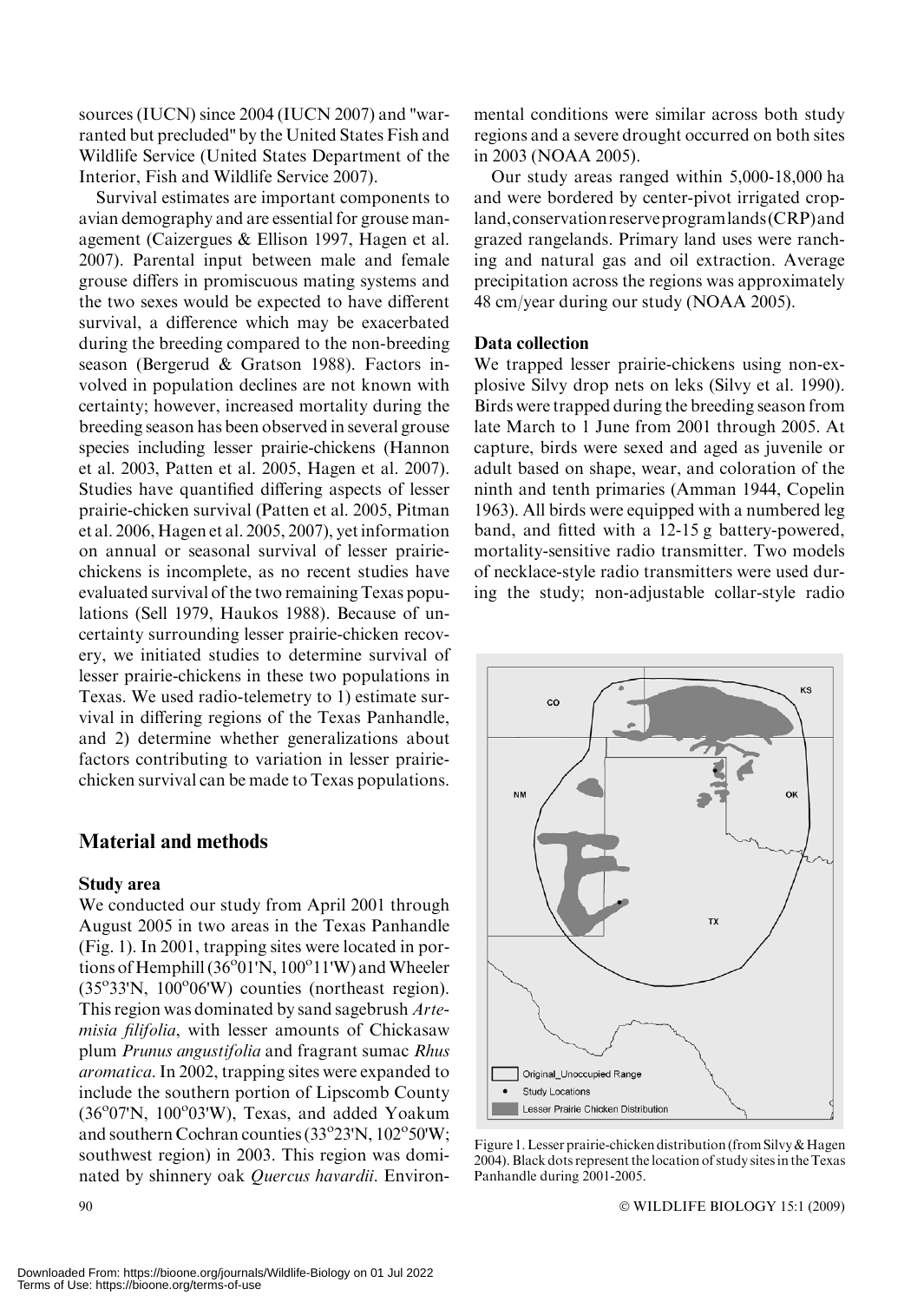sources (IUCN) since 2004 (IUCN 2007) and ''warranted but precluded'' by the United States Fish and Wildlife Service (United States Department of the Interior, Fish and Wildlife Service 2007).

Survival estimates are important components to avian demography and are essential for grouse management (Caizergues & Ellison 1997, Hagen et al. 2007). Parental input between male and female grouse differs in promiscuous mating systems and the two sexes would be expected to have different survival, a difference which may be exacerbated during the breeding compared to the non-breeding season (Bergerud & Gratson 1988). Factors involved in population declines are not known with certainty; however, increased mortality during the breeding season has been observed in several grouse species including lesser prairie-chickens (Hannon et al. 2003, Patten et al. 2005, Hagen et al. 2007). Studies have quantified differing aspects of lesser prairie-chicken survival (Patten et al. 2005, Pitman et al. 2006, Hagen et al. 2005, 2007), yet information on annual or seasonal survival of lesser prairiechickens is incomplete, as no recent studies have evaluated survival of the two remaining Texas populations (Sell 1979, Haukos 1988). Because of uncertainty surrounding lesser prairie-chicken recovery, we initiated studies to determine survival of lesser prairie-chickens in these two populations in Texas. We used radio-telemetry to 1) estimate survival in differing regions of the Texas Panhandle, and 2) determine whether generalizations about factors contributing to variation in lesser prairiechicken survival can be made to Texas populations.

## Material and methods

#### Study area

We conducted our study from April 2001 through August 2005 in two areas in the Texas Panhandle (Fig. 1). In 2001, trapping sites were located in portions of Hemphill  $(36°01'N, 100°11'W)$  and Wheeler  $(35°33'N, 100°06'W)$  counties (northeast region). This region was dominated by sand sagebrush Artemisia filifolia, with lesser amounts of Chickasaw plum Prunus angustifolia and fragrant sumac Rhus aromatica. In 2002, trapping sites were expanded to include the southern portion of Lipscomb County (36°07'N, 100°03'W), Texas, and added Yoakum and southern Cochran counties (33°23'N, 102°50'W; southwest region) in 2003. This region was dominated by shinnery oak Quercus havardii. Environmental conditions were similar across both study regions and a severe drought occurred on both sites in 2003 (NOAA 2005).

Our study areas ranged within 5,000-18,000 ha and were bordered by center-pivot irrigated cropland,conservationreserveprogramlands (CRP)and grazed rangelands. Primary land uses were ranching and natural gas and oil extraction. Average precipitation across the regions was approximately 48 cm/year during our study (NOAA 2005).

#### Data collection

We trapped lesser prairie-chickens using non-explosive Silvy drop nets on leks (Silvy et al. 1990). Birds were trapped during the breeding season from late March to 1 June from 2001 through 2005. At capture, birds were sexed and aged as juvenile or adult based on shape, wear, and coloration of the ninth and tenth primaries (Amman 1944, Copelin 1963). All birds were equipped with a numbered leg band, and fitted with a 12-15 g battery-powered, mortality-sensitive radio transmitter. Two models of necklace-style radio transmitters were used during the study; non-adjustable collar-style radio



Figure 1.Lesser prairie-chicken distribution (from Silvy&Hagen 2004). Black dots represent the location of study sites in the Texas Panhandle during 2001-2005.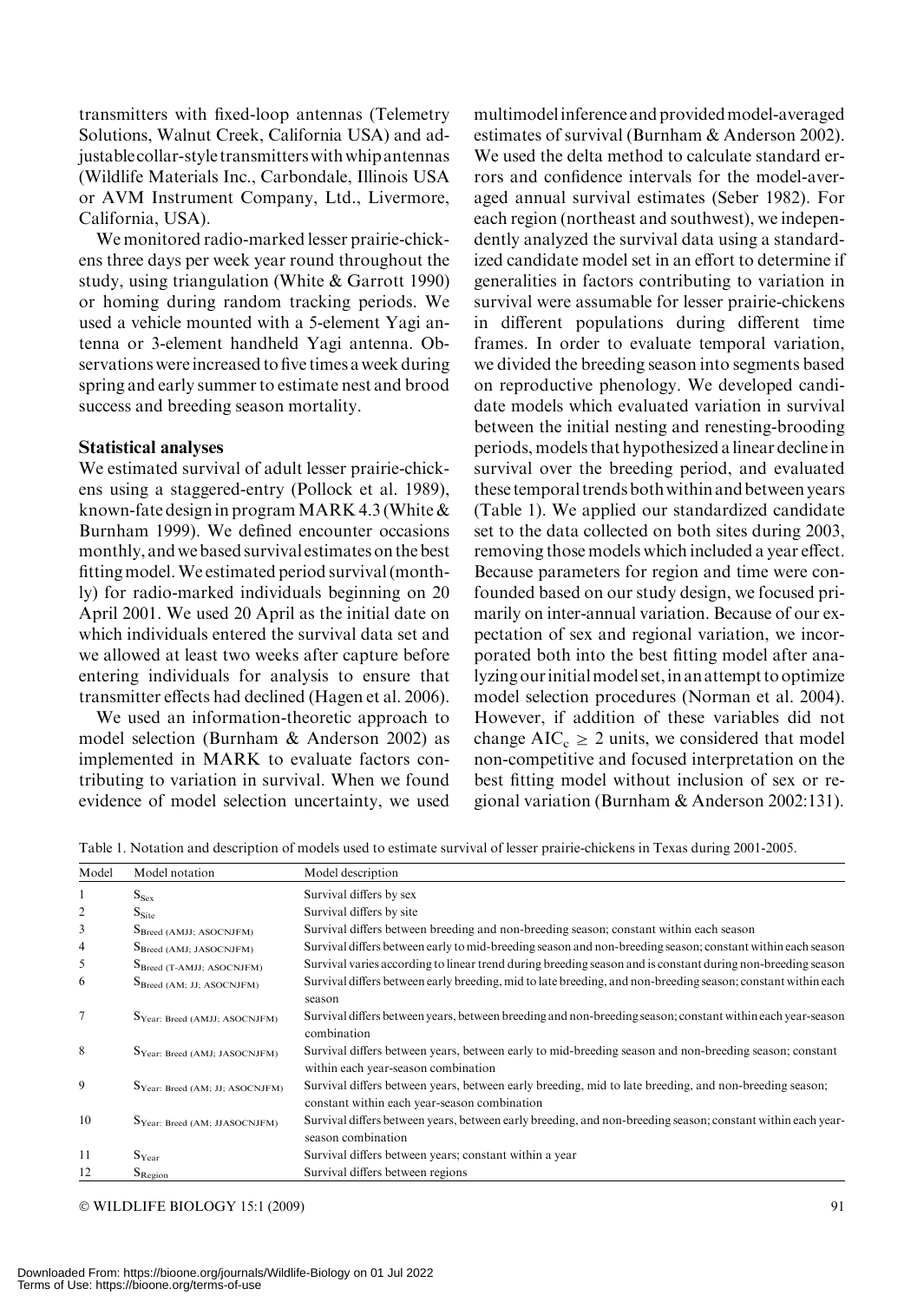transmitters with fixed-loop antennas (Telemetry Solutions, Walnut Creek, California USA) and adjustablecollar-style transmitters withwhip antennas (Wildlife Materials Inc., Carbondale, Illinois USA or AVM Instrument Company, Ltd., Livermore, California, USA).

We monitored radio-marked lesser prairie-chickens three days per week year round throughout the study, using triangulation (White & Garrott 1990) or homing during random tracking periods. We used a vehicle mounted with a 5-element Yagi antenna or 3-element handheld Yagi antenna. Observations were increased to five times a week during spring and early summer to estimate nest and brood success and breeding season mortality.

#### Statistical analyses

We estimated survival of adult lesser prairie-chickens using a staggered-entry (Pollock et al. 1989), known-fate design in program MARK 4.3 (White  $&$ Burnham 1999). We defined encounter occasions monthly, and we based survival estimates on the best fitting model.We estimated period survival (monthly) for radio-marked individuals beginning on 20 April 2001. We used 20 April as the initial date on which individuals entered the survival data set and we allowed at least two weeks after capture before entering individuals for analysis to ensure that transmitter effects had declined (Hagen et al. 2006).

We used an information-theoretic approach to model selection (Burnham & Anderson 2002) as implemented in MARK to evaluate factors contributing to variation in survival. When we found evidence of model selection uncertainty, we used multimodelinference and providedmodel-averaged estimates of survival (Burnham & Anderson 2002). We used the delta method to calculate standard errors and confidence intervals for the model-averaged annual survival estimates (Seber 1982). For each region (northeast and southwest), we independently analyzed the survival data using a standardized candidate model set in an effort to determine if generalities in factors contributing to variation in survival were assumable for lesser prairie-chickens in different populations during different time frames. In order to evaluate temporal variation, we divided the breeding season into segments based on reproductive phenology. We developed candidate models which evaluated variation in survival between the initial nesting and renesting-brooding periods, models that hypothesized a linear decline in survival over the breeding period, and evaluated these temporal trends bothwithin andbetween years (Table 1). We applied our standardized candidate set to the data collected on both sites during 2003, removing those models which included a year effect. Because parameters for region and time were confounded based on our study design, we focused primarily on inter-annual variation. Because of our expectation of sex and regional variation, we incorporated both into the best fitting model after analyzing ourinitialmodel set,in an attempt to optimize model selection procedures (Norman et al. 2004). However, if addition of these variables did not change  $AIC_c \ge 2$  units, we considered that model non-competitive and focused interpretation on the best fitting model without inclusion of sex or regional variation (Burnham & Anderson 2002:131).

Table 1. Notation and description of models used to estimate survival of lesser prairie-chickens in Texas during 2001-2005.

| Model          | Model notation                             | Model description                                                                                                                                      |
|----------------|--------------------------------------------|--------------------------------------------------------------------------------------------------------------------------------------------------------|
| 1              | $S_{Sex}$                                  | Survival differs by sex                                                                                                                                |
| 2              | S <sub>Site</sub>                          | Survival differs by site                                                                                                                               |
| 3              | $S_{Breed (AMJI; ASOCNIFM)}$               | Survival differs between breeding and non-breeding season; constant within each season                                                                 |
| 4              | S <sub>Breed</sub> (AMJ; JASOCNJFM)        | Survival differs between early to mid-breeding season and non-breeding season; constant within each season                                             |
| 5              | S <sub>Breed</sub> (T-AMJJ; ASOCNJFM)      | Survival varies according to linear trend during breeding season and is constant during non-breeding season                                            |
| 6              | $S_{Breed (AM; JJ; ASOCNJFM)}$             | Survival differs between early breeding, mid to late breeding, and non-breeding season; constant within each                                           |
|                |                                            | season                                                                                                                                                 |
| $\overline{7}$ | Syear: Breed (AMJJ; ASOCNJFM)              | Survival differs between years, between breeding and non-breeding season; constant within each year-season<br>combination                              |
| 8              | Syear: Breed (AMJ; JASOCNJFM)              | Survival differs between years, between early to mid-breeding season and non-breeding season; constant<br>within each year-season combination          |
| 9              | Syear: Breed (AM; JJ; ASOCNJFM)            | Survival differs between years, between early breeding, mid to late breeding, and non-breeding season;<br>constant within each year-season combination |
| 10             | S <sub>Year</sub> : Breed (AM; JJASOCNJFM) | Survival differs between years, between early breeding, and non-breeding season; constant within each year-<br>season combination                      |
| 11             | $S_{\rm Year}$                             | Survival differs between years; constant within a year                                                                                                 |
| 12             | $S_{Region}$                               | Survival differs between regions                                                                                                                       |

© WILDLIFE BIOLOGY 15:1 (2009) 91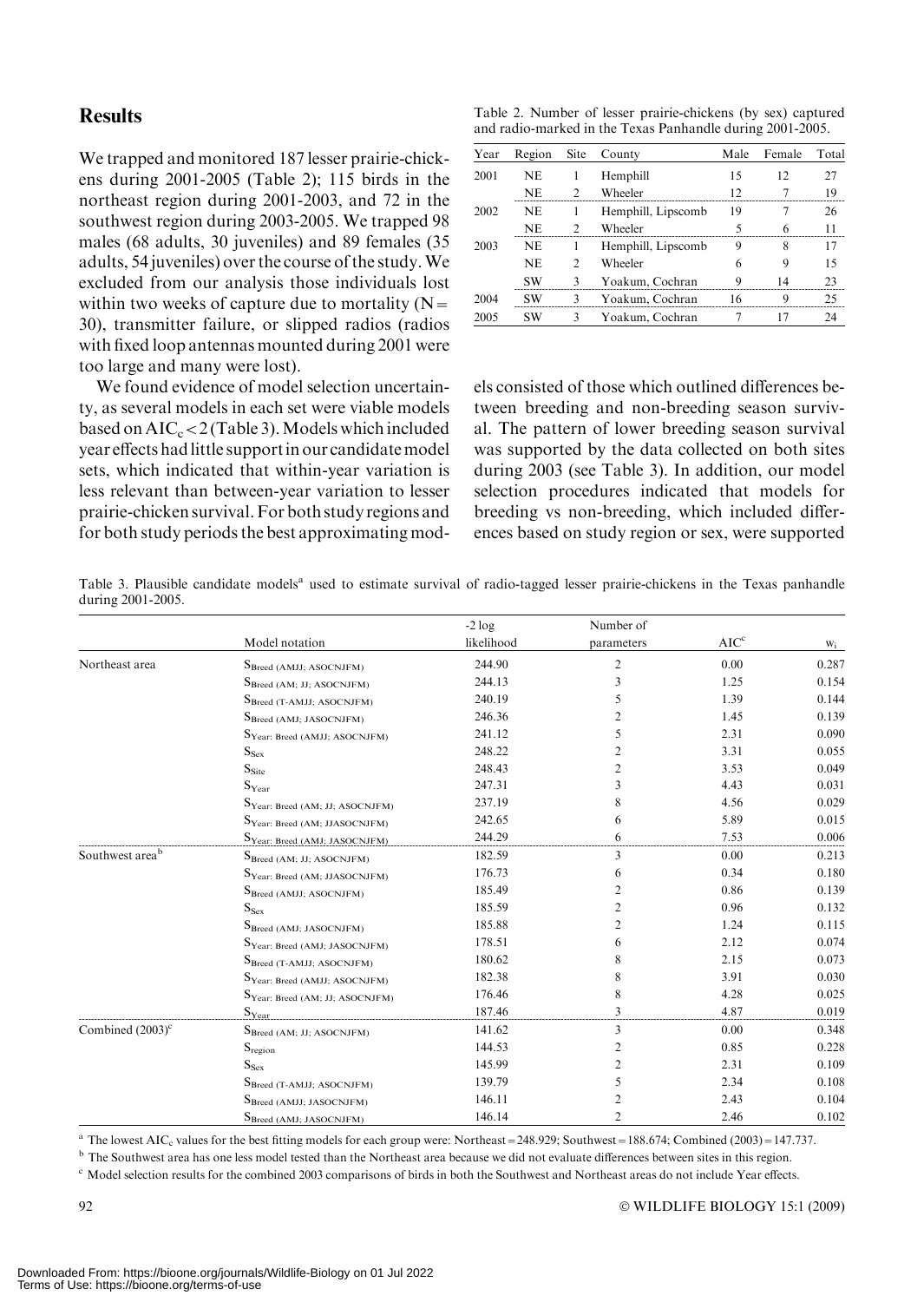## **Results**

We trapped and monitored 187 lesser prairie-chickens during 2001-2005 (Table 2); 115 birds in the northeast region during 2001-2003, and 72 in the southwest region during 2003-2005. We trapped 98 males (68 adults, 30 juveniles) and 89 females (35 adults, 54 juveniles) over the course of the study.We excluded from our analysis those individuals lost within two weeks of capture due to mortality  $(N=$ 30), transmitter failure, or slipped radios (radios with fixed loop antennas mounted during 2001 were too large and many were lost).

We found evidence of model selection uncertainty, as several models in each set were viable models based on  $AIC_c < 2$  (Table 3). Models which included year effects hadlittle supportin our candidatemodel sets, which indicated that within-year variation is less relevant than between-year variation to lesser prairie-chicken survival. For both study regions and for both study periods the best approximating mod-

Table 2. Number of lesser prairie-chickens (by sex) captured and radio-marked in the Texas Panhandle during 2001-2005.

| Year | Region | Site          | County             | Male              | Female | Total |
|------|--------|---------------|--------------------|-------------------|--------|-------|
| 2001 | NE     |               | Hemphill           | 15                | 12     | 27    |
|      | NE     | っ             | Wheeler            | $12 \overline{)}$ | 7      | 19    |
| 2002 | NE     |               | Hemphill, Lipscomb | 19                |        | 26    |
|      | NE     | $\mathcal{D}$ | Wheeler            | 5                 | 6      | 11    |
| 2003 | NE     |               | Hemphill, Lipscomb | 9                 | 8      | 17    |
|      | NE     | $\mathcal{D}$ | Wheeler            | 6                 | 9      | 15    |
|      | SW     | 3             | Yoakum, Cochran    | 9                 | 14     | 23    |
| 2004 | SW     | 3             | Yoakum, Cochran    | 16                | 9      | 25    |
| 2005 | SW     | 3             | Yoakum, Cochran    |                   | 17     | 24    |

els consisted of those which outlined differences between breeding and non-breeding season survival. The pattern of lower breeding season survival was supported by the data collected on both sites during 2003 (see Table 3). In addition, our model selection procedures indicated that models for breeding vs non-breeding, which included differences based on study region or sex, were supported

Table 3. Plausible candidate models<sup>a</sup> used to estimate survival of radio-tagged lesser prairie-chickens in the Texas panhandle during 2001-2005.

|                             |                                           | $-2 \log$  | Number of      |                  |       |
|-----------------------------|-------------------------------------------|------------|----------------|------------------|-------|
|                             | Model notation                            | likelihood | parameters     | AIC <sup>c</sup> | $W_i$ |
| Northeast area              | $S_{Breed (AMJI; ASOCNIFM)}$              | 244.90     | $\overline{c}$ | 0.00             | 0.287 |
|                             | $S_{Breed (AM; JJ; ASOCNIFM)}$            | 244.13     | 3              | 1.25             | 0.154 |
|                             | $S_{Breed (T-AMJJ; ASOCNIFM)}$            | 240.19     | 5              | 1.39             | 0.144 |
|                             | S <sub>Breed</sub> (AMJ; JASOCNJFM)       | 246.36     |                | 1.45             | 0.139 |
|                             | S <sub>Year:</sub> Breed (AMJJ; ASOCNJFM) | 241.12     | 5              | 2.31             | 0.090 |
|                             | $S_{Sex}$                                 | 248.22     |                | 3.31             | 0.055 |
|                             | S <sub>site</sub>                         | 248.43     | 2              | 3.53             | 0.049 |
|                             | $S_{Year}$                                | 247.31     | 3              | 4.43             | 0.031 |
|                             | Syear: Breed (AM; JJ; ASOCNJFM)           | 237.19     | 8              | 4.56             | 0.029 |
|                             | S <sub>Year:</sub> Breed (AM; JJASOCNJFM) | 242.65     | 6              | 5.89             | 0.015 |
|                             | S <sub>Year:</sub> Breed (AMJ; JASOCNJFM) | 244.29     | 6              | 7.53             | 0.006 |
| Southwest area <sup>b</sup> | $S_{Breed (AM: JJ: ASOCNIFM)}$            | 182.59     | 3              | 0.00             | 0.213 |
|                             | S <sub>Year:</sub> Breed (AM; JJASOCNJFM) | 176.73     | 6              | 0.34             | 0.180 |
|                             | $S_{Breed (AMJJ; ASOCNIFM)}$              | 185.49     | 2              | 0.86             | 0.139 |
|                             | $S_{Sex}$                                 | 185.59     |                | 0.96             | 0.132 |
|                             | $S_{Breed (AMJ; JASOCNJFM)}$              | 185.88     |                | 1.24             | 0.115 |
|                             | Syear: Breed (AMJ: JASOCNJFM)             | 178.51     | 6              | 2.12             | 0.074 |
|                             | $S_{Breed}$ (T-AMJJ; ASOCNJFM)            | 180.62     | 8              | 2.15             | 0.073 |
|                             | Syear: Breed (AMJJ: ASOCNJFM)             | 182.38     | 8              | 3.91             | 0.030 |
|                             | $S_{Year: Breed (AM; JJ; ASOCNIFM)}$      | 176.46     | 8              | 4.28             | 0.025 |
|                             | $S_{Year}$                                | 187.46     | 3              | 4.87             | 0.019 |
| Combined $(2003)^c$         | $S_{Breed (AM: JJ: ASOCNIFM)}$            | 141.62     | 3              | 0.00             | 0.348 |
|                             | $\mathbf{S}_{\text{region}}$              | 144.53     | 2              | 0.85             | 0.228 |
|                             | $S_{Sex}$                                 | 145.99     | 2              | 2.31             | 0.109 |
|                             | $S_{Breed}$ (T-AMJJ; ASOCNJFM)            | 139.79     | 5              | 2.34             | 0.108 |
|                             | S <sub>Breed</sub> (AMJJ; JASOCNJFM)      | 146.11     | 2              | 2.43             | 0.104 |
|                             | S <sub>Breed</sub> (AMJ; JASOCNJFM)       | 146.14     | 2              | 2.46             | 0.102 |

<sup>a</sup> The lowest AIC<sub>c</sub> values for the best fitting models for each group were: Northeast = 248.929; Southwest = 188.674; Combined (2003) = 147.737.

<sup>b</sup> The Southwest area has one less model tested than the Northeast area because we did not evaluate differences between sites in this region.

<sup>c</sup> Model selection results for the combined 2003 comparisons of birds in both the Southwest and Northeast areas do not include Year effects.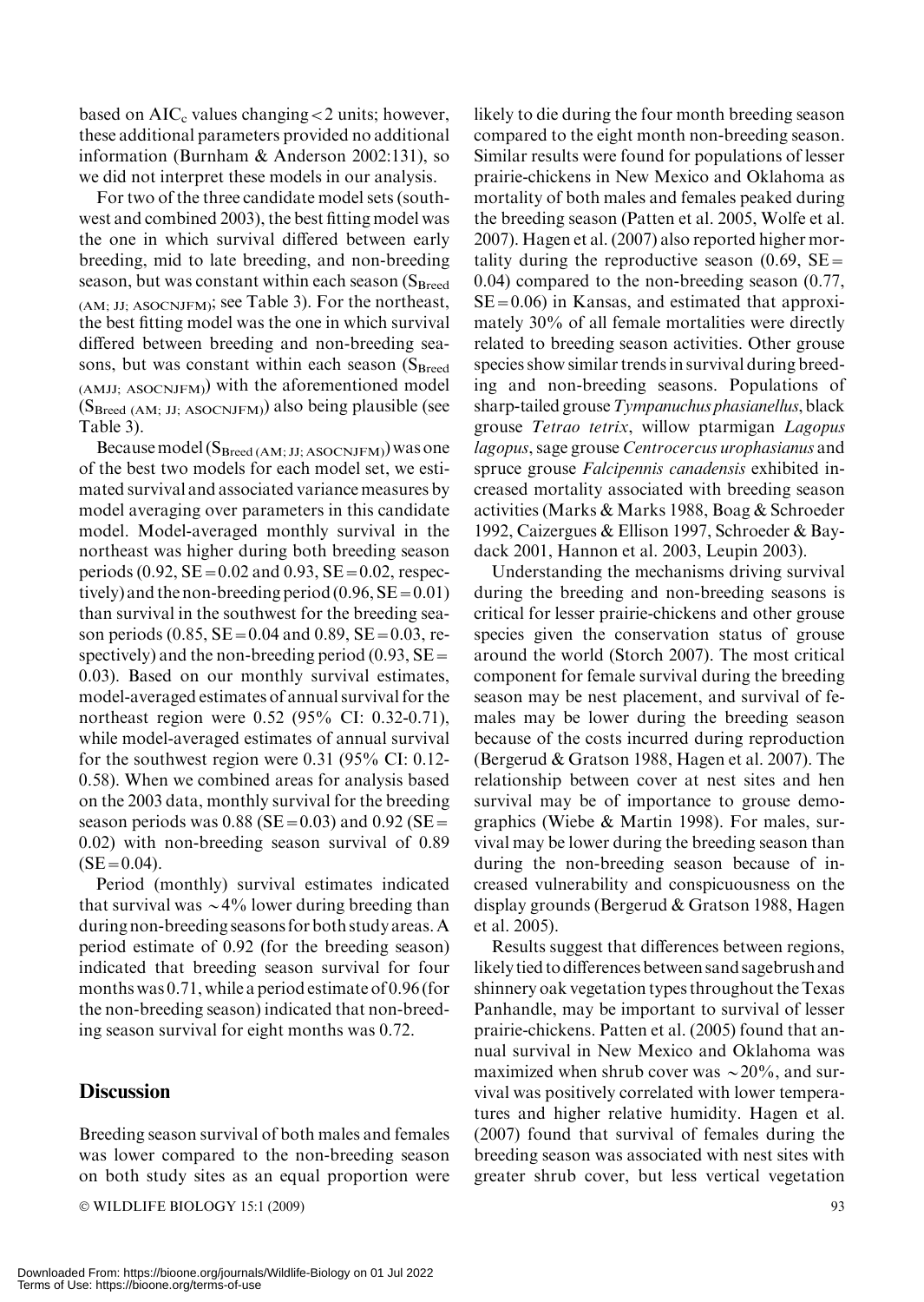based on  $AIC_c$  values changing < 2 units; however, these additional parameters provided no additional information (Burnham & Anderson 2002:131), so we did not interpret these models in our analysis.

For two of the three candidate model sets (southwest and combined 2003), the best fitting model was the one in which survival differed between early breeding, mid to late breeding, and non-breeding season, but was constant within each season  $(S_{Breed})$ (AM; JJ; ASOCNJFM); see Table 3). For the northeast, the best fitting model was the one in which survival differed between breeding and non-breeding seasons, but was constant within each season  $(S_{Breed})$ (AMJJ; ASOCNJFM)) with the aforementioned model  $(S_{Breed (AM; JJ; ASOCNJFM)})$  also being plausible (see Table 3).

Because model  $(S_{Breed (AM; JJ: ASOCNIFM)})$  was one of the best two models for each model set, we estimated survival and associated variance measures by model averaging over parameters in this candidate model. Model-averaged monthly survival in the northeast was higher during both breeding season periods (0.92,  $SE = 0.02$  and 0.93,  $SE = 0.02$ , respectively) and the non-breeding period  $(0.96, SE = 0.01)$ than survival in the southwest for the breeding season periods (0.85,  $SE = 0.04$  and 0.89,  $SE = 0.03$ , respectively) and the non-breeding period  $(0.93, SE=$ 0.03). Based on our monthly survival estimates, model-averaged estimates of annual survival for the northeast region were 0.52 (95% CI: 0.32-0.71), while model-averaged estimates of annual survival for the southwest region were 0.31 (95% CI: 0.12- 0.58). When we combined areas for analysis based on the 2003 data, monthly survival for the breeding season periods was 0.88 (SE = 0.03) and 0.92 (SE = 0.02) with non-breeding season survival of 0.89  $(SE = 0.04)$ .

Period (monthly) survival estimates indicated that survival was  $\sim 4\%$  lower during breeding than during non-breeding seasons for both study areas. A period estimate of 0.92 (for the breeding season) indicated that breeding season survival for four months was 0.71, while a period estimate of 0.96 (for the non-breeding season) indicated that non-breeding season survival for eight months was 0.72.

## **Discussion**

Breeding season survival of both males and females was lower compared to the non-breeding season on both study sites as an equal proportion were

© WILDLIFE BIOLOGY 15:1 (2009) 93

likely to die during the four month breeding season compared to the eight month non-breeding season. Similar results were found for populations of lesser prairie-chickens in New Mexico and Oklahoma as mortality of both males and females peaked during the breeding season (Patten et al. 2005, Wolfe et al. 2007). Hagen et al. (2007) also reported higher mortality during the reproductive season  $(0.69, SE=$ 0.04) compared to the non-breeding season (0.77,  $SE = 0.06$  in Kansas, and estimated that approximately 30% of all female mortalities were directly related to breeding season activities. Other grouse species show similar trends in survival during breeding and non-breeding seasons. Populations of sharp-tailed grouse  $Tympanuchus phasianellus$ , black grouse Tetrao tetrix, willow ptarmigan Lagopus lagopus, sage grouse Centrocercus urophasianus and spruce grouse Falcipennis canadensis exhibited increased mortality associated with breeding season activities (Marks & Marks 1988, Boag & Schroeder 1992, Caizergues & Ellison 1997, Schroeder & Baydack 2001, Hannon et al. 2003, Leupin 2003).

Understanding the mechanisms driving survival during the breeding and non-breeding seasons is critical for lesser prairie-chickens and other grouse species given the conservation status of grouse around the world (Storch 2007). The most critical component for female survival during the breeding season may be nest placement, and survival of females may be lower during the breeding season because of the costs incurred during reproduction (Bergerud & Gratson 1988, Hagen et al. 2007). The relationship between cover at nest sites and hen survival may be of importance to grouse demographics (Wiebe & Martin 1998). For males, survival may be lower during the breeding season than during the non-breeding season because of increased vulnerability and conspicuousness on the display grounds (Bergerud & Gratson 1988, Hagen et al. 2005).

Results suggest that differences between regions, likely tied to differences between sand sagebrush and shinnery oak vegetation types throughout the Texas Panhandle, may be important to survival of lesser prairie-chickens. Patten et al. (2005) found that annual survival in New Mexico and Oklahoma was maximized when shrub cover was  $\sim$  20%, and survival was positively correlated with lower temperatures and higher relative humidity. Hagen et al. (2007) found that survival of females during the breeding season was associated with nest sites with greater shrub cover, but less vertical vegetation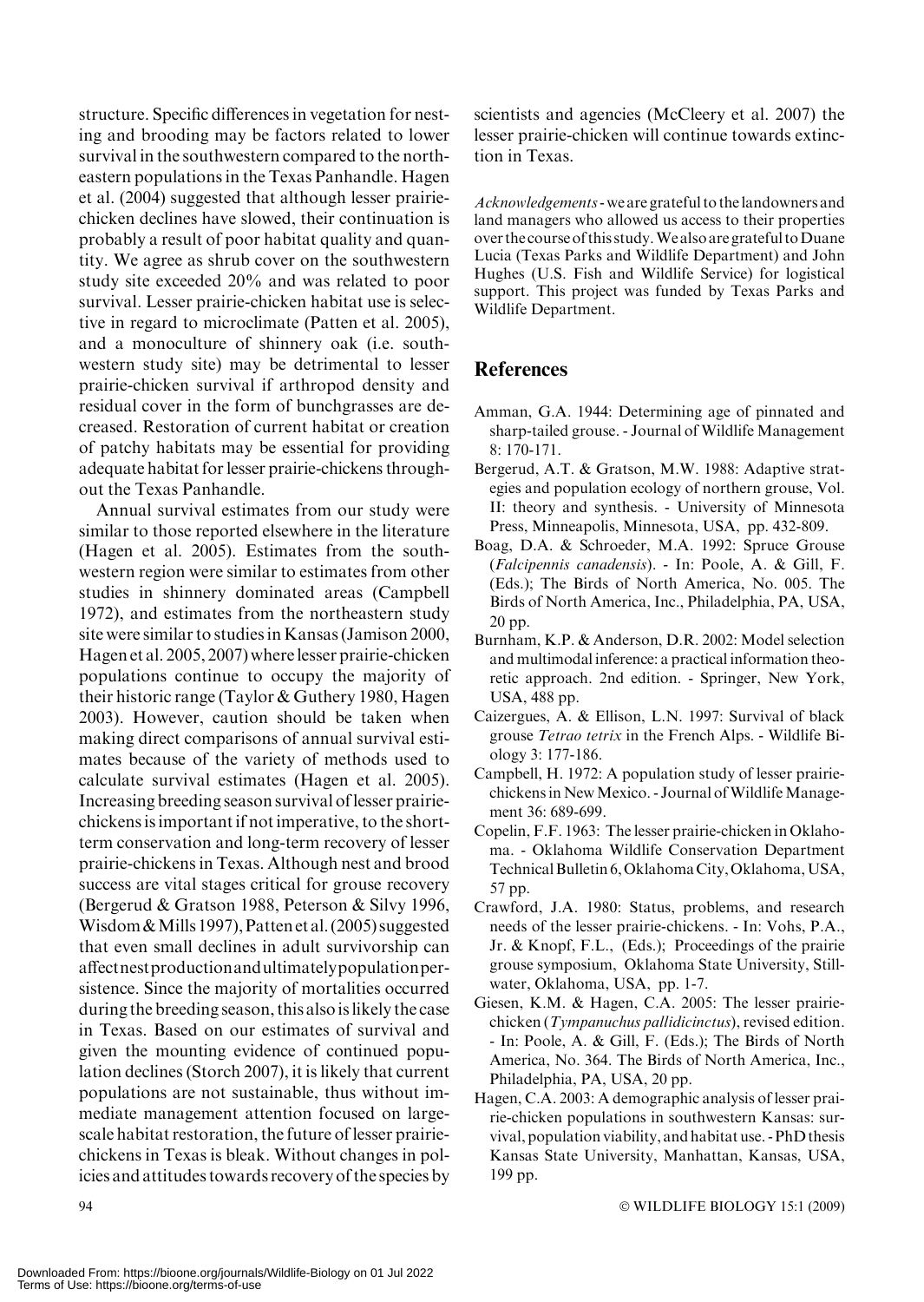structure. Specific differences in vegetation for nesting and brooding may be factors related to lower survival in the southwestern compared to the northeastern populations in the Texas Panhandle. Hagen et al. (2004) suggested that although lesser prairiechicken declines have slowed, their continuation is probably a result of poor habitat quality and quantity. We agree as shrub cover on the southwestern study site exceeded 20% and was related to poor survival. Lesser prairie-chicken habitat use is selective in regard to microclimate (Patten et al. 2005), and a monoculture of shinnery oak (i.e. southwestern study site) may be detrimental to lesser prairie-chicken survival if arthropod density and residual cover in the form of bunchgrasses are decreased. Restoration of current habitat or creation of patchy habitats may be essential for providing adequate habitat for lesser prairie-chickens throughout the Texas Panhandle. Annual survival estimates from our study were similar to those reported elsewhere in the literature

(Hagen et al. 2005). Estimates from the southwestern region were similar to estimates from other studies in shinnery dominated areas (Campbell 1972), and estimates from the northeastern study site were similar to studies in Kansas (Jamison 2000, Hagen et al. 2005, 2007) where lesser prairie-chicken populations continue to occupy the majority of their historic range (Taylor & Guthery 1980, Hagen 2003). However, caution should be taken when making direct comparisons of annual survival estimates because of the variety of methods used to calculate survival estimates (Hagen et al. 2005). Increasing breeding season survival of lesser prairiechickens is important if not imperative, to the shortterm conservation and long-term recovery of lesser prairie-chickens in Texas. Although nest and brood success are vital stages critical for grouse recovery (Bergerud & Gratson 1988, Peterson & Silvy 1996, Wisdom&Mills 1997), Patten et al. (2005) suggested that even small declines in adult survivorship can affectnestproductionandultimatelypopulationpersistence. Since the majority of mortalities occurred during the breeding season, this also is likely the case in Texas. Based on our estimates of survival and given the mounting evidence of continued population declines (Storch 2007), it is likely that current populations are not sustainable, thus without immediate management attention focused on largescale habitat restoration, the future of lesser prairiechickens in Texas is bleak. Without changes in policies and attitudes towards recovery of the species by scientists and agencies (McCleery et al. 2007) the lesser prairie-chicken will continue towards extinction in Texas.

Acknowledgements - we are grateful to the landowners and land managers who allowed us access to their properties over the course of this study.We also are grateful toDuane Lucia (Texas Parks and Wildlife Department) and John Hughes (U.S. Fish and Wildlife Service) for logistical support. This project was funded by Texas Parks and Wildlife Department.

## **References**

- Amman, G.A. 1944: Determining age of pinnated and sharp-tailed grouse. - Journal of Wildlife Management 8: 170-171.
- Bergerud, A.T. & Gratson, M.W. 1988: Adaptive strategies and population ecology of northern grouse, Vol. II: theory and synthesis. - University of Minnesota Press, Minneapolis, Minnesota, USA, pp. 432-809.
- Boag, D.A. & Schroeder, M.A. 1992: Spruce Grouse (Falcipennis canadensis). - In: Poole, A. & Gill, F. (Eds.); The Birds of North America, No. 005. The Birds of North America, Inc., Philadelphia, PA, USA, 20 pp.
- Burnham, K.P. & Anderson, D.R. 2002: Model selection and multimodal inference: a practical information theoretic approach. 2nd edition. - Springer, New York, USA, 488 pp.
- Caizergues, A. & Ellison, L.N. 1997: Survival of black grouse Tetrao tetrix in the French Alps. - Wildlife Biology 3: 177-186.
- Campbell, H. 1972: A population study of lesser prairiechickens in New Mexico. - Journal of Wildlife Management 36: 689-699.
- Copelin, F.F. 1963: The lesser prairie-chicken in Oklahoma. - Oklahoma Wildlife Conservation Department Technical Bulletin 6, Oklahoma City, Oklahoma, USA, 57 pp.
- Crawford, J.A. 1980: Status, problems, and research needs of the lesser prairie-chickens. - In: Vohs, P.A., Jr. & Knopf, F.L., (Eds.); Proceedings of the prairie grouse symposium, Oklahoma State University, Stillwater, Oklahoma, USA, pp. 1-7.
- Giesen, K.M. & Hagen, C.A. 2005: The lesser prairiechicken (Tympanuchus pallidicinctus), revised edition. - In: Poole, A. & Gill, F. (Eds.); The Birds of North America, No. 364. The Birds of North America, Inc., Philadelphia, PA, USA, 20 pp.
- Hagen, C.A. 2003: A demographic analysis of lesser prairie-chicken populations in southwestern Kansas: survival, population viability, and habitat use. - PhD thesis Kansas State University, Manhattan, Kansas, USA, 199 pp.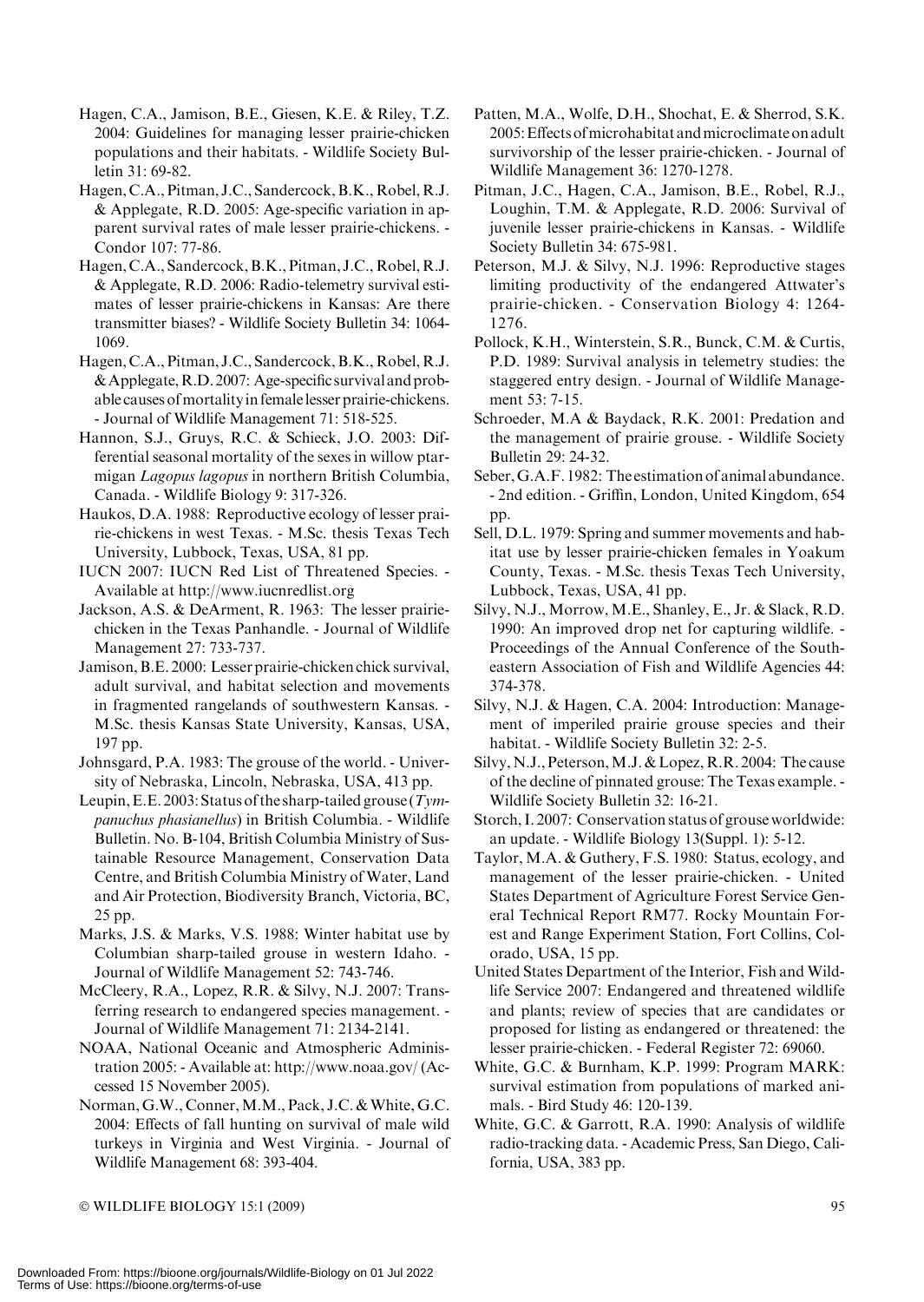Hagen, C.A., Jamison, B.E., Giesen, K.E. & Riley, T.Z. 2004: Guidelines for managing lesser prairie-chicken populations and their habitats. - Wildlife Society Bulletin 31: 69-82.

Hagen, C.A., Pitman, J.C., Sandercock, B.K., Robel, R.J. & Applegate, R.D. 2005: Age-specific variation in apparent survival rates of male lesser prairie-chickens. - Condor 107: 77-86.

Hagen, C.A., Sandercock, B.K., Pitman, J.C., Robel, R.J. & Applegate, R.D. 2006: Radio-telemetry survival estimates of lesser prairie-chickens in Kansas: Are there transmitter biases? - Wildlife Society Bulletin 34: 1064- 1069.

Hagen, C.A., Pitman, J.C., Sandercock, B.K., Robel, R.J.  $&$  Applegate, R.D. 2007: Age-specific survival and probable causes of mortality in female lesser prairie-chickens. - Journal of Wildlife Management 71: 518-525.

Hannon, S.J., Gruys, R.C. & Schieck, J.O. 2003: Differential seasonal mortality of the sexes in willow ptarmigan Lagopus lagopus in northern British Columbia, Canada. - Wildlife Biology 9: 317-326.

Haukos, D.A. 1988: Reproductive ecology of lesser prairie-chickens in west Texas. - M.Sc. thesis Texas Tech University, Lubbock, Texas, USA, 81 pp.

IUCN 2007: IUCN Red List of Threatened Species. - Available at http://www.iucnredlist.org

Jackson, A.S. & DeArment, R. 1963: The lesser prairiechicken in the Texas Panhandle. - Journal of Wildlife Management 27: 733-737.

Jamison,B.E. 2000: Lesser prairie-chicken chick survival, adult survival, and habitat selection and movements in fragmented rangelands of southwestern Kansas. - M.Sc. thesis Kansas State University, Kansas, USA, 197 pp.

Johnsgard, P.A. 1983: The grouse of the world. - University of Nebraska, Lincoln, Nebraska, USA, 413 pp.

Leupin, E.E. 2003: Status of the sharp-tailed grouse  $(Tym$ panuchus phasianellus) in British Columbia. - Wildlife Bulletin. No. B-104, British Columbia Ministry of Sustainable Resource Management, Conservation Data Centre, and British Columbia Ministry of Water, Land and Air Protection, Biodiversity Branch, Victoria, BC, 25 pp.

Marks, J.S. & Marks, V.S. 1988: Winter habitat use by Columbian sharp-tailed grouse in western Idaho. - Journal of Wildlife Management 52: 743-746.

McCleery, R.A., Lopez, R.R. & Silvy, N.J. 2007: Transferring research to endangered species management. - Journal of Wildlife Management 71: 2134-2141.

NOAA, National Oceanic and Atmospheric Administration 2005: - Available at: http://www.noaa.gov/ (Accessed 15 November 2005).

Norman, G.W., Conner, M.M., Pack, J.C. & White, G.C. 2004: Effects of fall hunting on survival of male wild turkeys in Virginia and West Virginia. - Journal of Wildlife Management 68: 393-404.

Patten, M.A., Wolfe, D.H., Shochat, E. & Sherrod, S.K. 2005:Effects ofmicrohabitat andmicroclimate on adult survivorship of the lesser prairie-chicken. - Journal of Wildlife Management 36: 1270-1278.

Pitman, J.C., Hagen, C.A., Jamison, B.E., Robel, R.J., Loughin, T.M. & Applegate, R.D. 2006: Survival of juvenile lesser prairie-chickens in Kansas. - Wildlife Society Bulletin 34: 675-981.

Peterson, M.J. & Silvy, N.J. 1996: Reproductive stages limiting productivity of the endangered Attwater's prairie-chicken. - Conservation Biology 4: 1264- 1276.

Pollock, K.H., Winterstein, S.R., Bunck, C.M. & Curtis, P.D. 1989: Survival analysis in telemetry studies: the staggered entry design. - Journal of Wildlife Management 53: 7-15.

Schroeder, M.A & Baydack, R.K. 2001: Predation and the management of prairie grouse. - Wildlife Society Bulletin 29: 24-32.

Seber,G.A.F. 1982: The estimation of animal abundance. - 2nd edition. - Griffin, London, United Kingdom, 654 pp.

Sell, D.L. 1979: Spring and summer movements and habitat use by lesser prairie-chicken females in Yoakum County, Texas. - M.Sc. thesis Texas Tech University, Lubbock, Texas, USA, 41 pp.

Silvy, N.J., Morrow, M.E., Shanley, E., Jr. & Slack, R.D. 1990: An improved drop net for capturing wildlife. - Proceedings of the Annual Conference of the Southeastern Association of Fish and Wildlife Agencies 44: 374-378.

Silvy, N.J. & Hagen, C.A. 2004: Introduction: Management of imperiled prairie grouse species and their habitat. - Wildlife Society Bulletin 32: 2-5.

Silvy, N.J., Peterson, M.J. & Lopez, R.R. 2004: The cause of the decline of pinnated grouse: The Texas example. - Wildlife Society Bulletin 32: 16-21.

Storch, I. 2007: Conservation status of grouse worldwide: an update. - Wildlife Biology 13(Suppl. 1): 5-12.

Taylor, M.A. & Guthery, F.S. 1980: Status, ecology, and management of the lesser prairie-chicken. - United States Department of Agriculture Forest Service General Technical Report RM77. Rocky Mountain Forest and Range Experiment Station, Fort Collins, Colorado, USA, 15 pp.

United States Department of the Interior, Fish and Wildlife Service 2007: Endangered and threatened wildlife and plants; review of species that are candidates or proposed for listing as endangered or threatened: the lesser prairie-chicken. - Federal Register 72: 69060.

White, G.C. & Burnham, K.P. 1999: Program MARK: survival estimation from populations of marked animals. - Bird Study 46: 120-139.

White, G.C. & Garrott, R.A. 1990: Analysis of wildlife radio-tracking data. - Academic Press, San Diego, California, USA, 383 pp.

© WILDLIFE BIOLOGY 15:1 (2009) 95